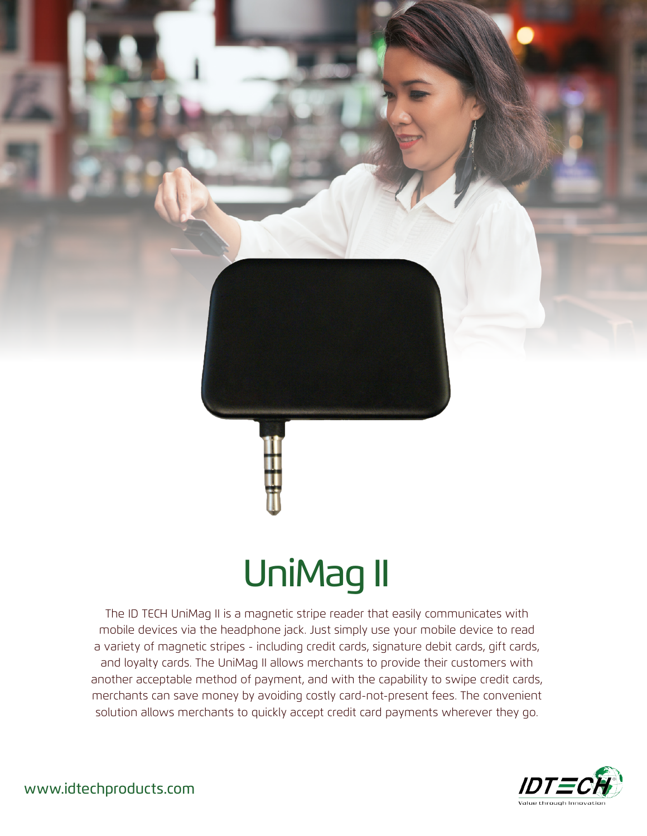

## UniMag II

The ID TECH UniMag II is a magnetic stripe reader that easily communicates with mobile devices via the headphone jack. Just simply use your mobile device to read a variety of magnetic stripes - including credit cards, signature debit cards, gift cards, and loyalty cards. The UniMag II allows merchants to provide their customers with another acceptable method of payment, and with the capability to swipe credit cards, merchants can save money by avoiding costly card-not-present fees. The convenient solution allows merchants to quickly accept credit card payments wherever they go.



www.idtechproducts.com